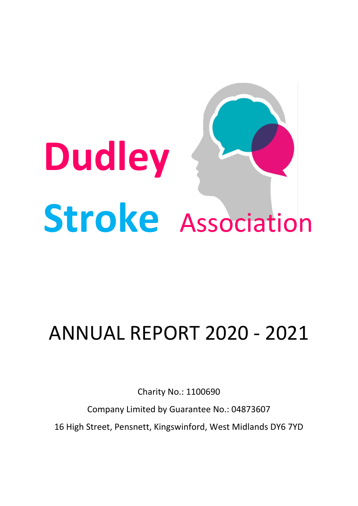

# ANNUAL REPORT 2020 - 2021

Charity No.: 1100690

Company Limited by Guarantee No.: 04873607 16 High Street, Pensnett, Kingswinford, West Midlands DY6 7YD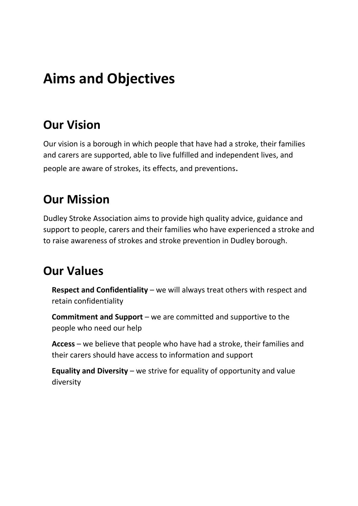# **Aims and Objectives**

# **Our Vision**

Our vision is a borough in which people that have had a stroke, their families and carers are supported, able to live fulfilled and independent lives, and people are aware of strokes, its effects, and preventions.

# **Our Mission**

Dudley Stroke Association aims to provide high quality advice, guidance and support to people, carers and their families who have experienced a stroke and to raise awareness of strokes and stroke prevention in Dudley borough.

# **Our Values**

**Respect and Confidentiality** – we will always treat others with respect and retain confidentiality

**Commitment and Support** – we are committed and supportive to the people who need our help

**Access** – we believe that people who have had a stroke, their families and their carers should have access to information and support

**Equality and Diversity** – we strive for equality of opportunity and value diversity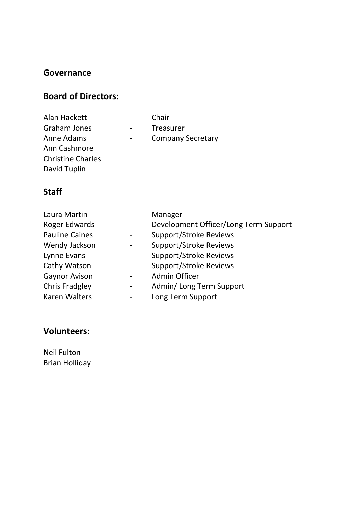### **Governance**

### **Board of Directors:**

| Chair                    |
|--------------------------|
| <b>Treasurer</b>         |
| <b>Company Secretary</b> |
|                          |
|                          |
|                          |
|                          |

## **Staff**

| Laura Martin          | Manager                               |  |  |
|-----------------------|---------------------------------------|--|--|
| Roger Edwards         | Development Officer/Long Term Support |  |  |
| <b>Pauline Caines</b> | <b>Support/Stroke Reviews</b>         |  |  |
| Wendy Jackson         | <b>Support/Stroke Reviews</b>         |  |  |
| Lynne Evans           | <b>Support/Stroke Reviews</b>         |  |  |
| Cathy Watson          | <b>Support/Stroke Reviews</b>         |  |  |
| <b>Gaynor Avison</b>  | <b>Admin Officer</b>                  |  |  |
| <b>Chris Fradgley</b> | Admin/Long Term Support               |  |  |
| <b>Karen Walters</b>  | Long Term Support                     |  |  |

### **Volunteers:**

Neil Fulton Brian Holliday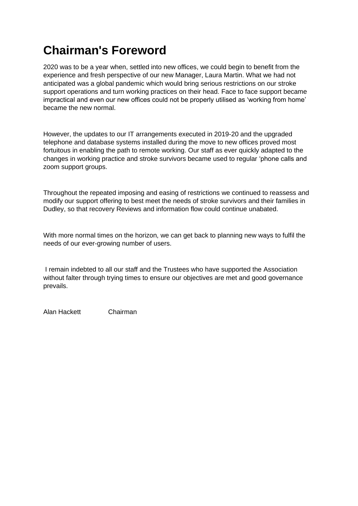# **Chairman's Foreword**

2020 was to be a year when, settled into new offices, we could begin to benefit from the experience and fresh perspective of our new Manager, Laura Martin. What we had not anticipated was a global pandemic which would bring serious restrictions on our stroke support operations and turn working practices on their head. Face to face support became impractical and even our new offices could not be properly utilised as 'working from home' became the new normal.

However, the updates to our IT arrangements executed in 2019-20 and the upgraded telephone and database systems installed during the move to new offices proved most fortuitous in enabling the path to remote working. Our staff as ever quickly adapted to the changes in working practice and stroke survivors became used to regular 'phone calls and zoom support groups.

Throughout the repeated imposing and easing of restrictions we continued to reassess and modify our support offering to best meet the needs of stroke survivors and their families in Dudley, so that recovery Reviews and information flow could continue unabated.

With more normal times on the horizon, we can get back to planning new ways to fulfil the needs of our ever-growing number of users.

I remain indebted to all our staff and the Trustees who have supported the Association without falter through trying times to ensure our objectives are met and good governance prevails.

Alan Hackett Chairman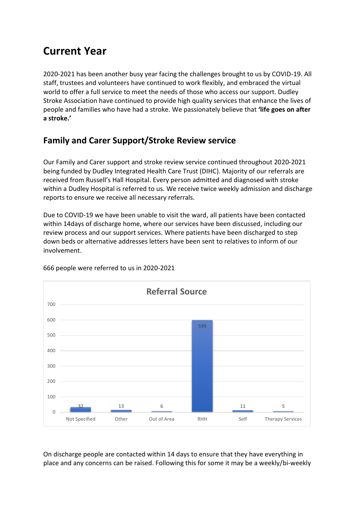# **Current Year**

2020-2021 has been another busy year facing the challenges brought to us by COVID-19. All staff, trustees and volunteers have continued to work flexibly, and embraced the virtual world to offer a full service to meet the needs of those who access our support. Dudley Stroke Association have continued to provide high quality services that enhance the lives of people and families who have had a stroke. We passionately believe that **'life goes on after a stroke.'**

### **Family and Carer Support/Stroke Review service**

Our Family and Carer support and stroke review service continued throughout 2020-2021 being funded by Dudley Integrated Health Care Trust (DIHC). Majority of our referrals are received from Russell's Hall Hospital. Every person admitted and diagnosed with stroke within a Dudley Hospital is referred to us. We receive twice weekly admission and discharge reports to ensure we receive all necessary referrals.

Due to COVID-19 we have been unable to visit the ward, all patients have been contacted within 14days of discharge home, where our services have been discussed, including our review process and our support services. Where patients have been discharged to step down beds or alternative addresses letters have been sent to relatives to inform of our involvement.



666 people were referred to us in 2020-2021

On discharge people are contacted within 14 days to ensure that they have everything in place and any concerns can be raised. Following this for some it may be a weekly/bi-weekly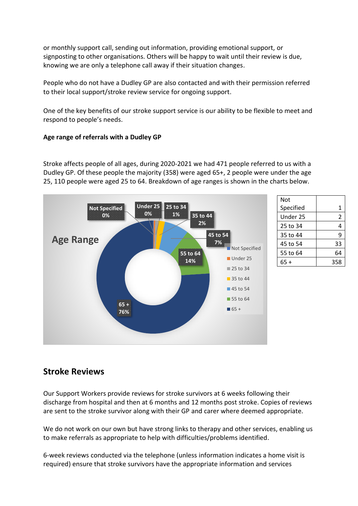or monthly support call, sending out information, providing emotional support, or signposting to other organisations. Others will be happy to wait until their review is due, knowing we are only a telephone call away if their situation changes.

People who do not have a Dudley GP are also contacted and with their permission referred to their local support/stroke review service for ongoing support.

One of the key benefits of our stroke support service is our ability to be flexible to meet and respond to people's needs.

#### **Age range of referrals with a Dudley GP**

Stroke affects people of all ages, during 2020-2021 we had 471 people referred to us with a Dudley GP. Of these people the majority (358) were aged 65+, 2 people were under the age 25, 110 people were aged 25 to 64. Breakdown of age ranges is shown in the charts below.



| Not       |     |
|-----------|-----|
| Specified | 1   |
| Under 25  | 2   |
| 25 to 34  | 4   |
| 35 to 44  | 9   |
| 45 to 54  | 33  |
| 55 to 64  | 64  |
| 65 +      | 358 |
|           |     |

### **Stroke Reviews**

Our Support Workers provide reviews for stroke survivors at 6 weeks following their discharge from hospital and then at 6 months and 12 months post stroke. Copies of reviews are sent to the stroke survivor along with their GP and carer where deemed appropriate.

We do not work on our own but have strong links to therapy and other services, enabling us to make referrals as appropriate to help with difficulties/problems identified.

6-week reviews conducted via the telephone (unless information indicates a home visit is required) ensure that stroke survivors have the appropriate information and services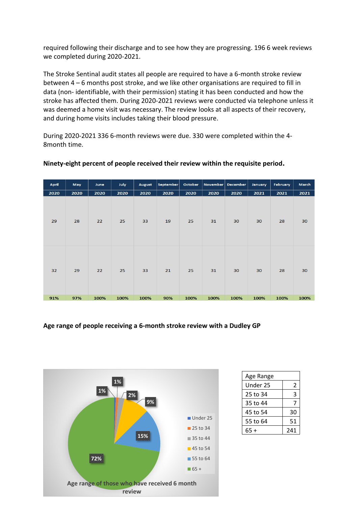required following their discharge and to see how they are progressing. 196 6 week reviews we completed during 2020-2021.

The Stroke Sentinal audit states all people are required to have a 6-month stroke review between 4 – 6 months post stroke, and we like other organisations are required to fill in data (non- identifiable, with their permission) stating it has been conducted and how the stroke has affected them. During 2020-2021 reviews were conducted via telephone unless it was deemed a home visit was necessary. The review looks at all aspects of their recovery, and during home visits includes taking their blood pressure.

During 2020-2021 336 6-month reviews were due. 330 were completed within the 4- 8month time.

| April | May  | June | <b>July</b> | <b>August</b> | September | October | November | December | January | <b>February</b> | March |
|-------|------|------|-------------|---------------|-----------|---------|----------|----------|---------|-----------------|-------|
| 2020  | 2020 | 2020 | 2020        | 2020          | 2020      | 2020    | 2020     | 2020     | 2021    | 2021            | 2021  |
| 29    | 28   | 22   | 25          | 33            | 19        | 25      | 31       | 30       | 30      | 28              | 30    |
| 32    | 29   | 22   | 25          | 33            | 21        | 25      | 31       | 30       | 30      | 28              | 30    |
| 91%   | 97%  | 100% | 100%        | 100%          | 90%       | 100%    | 100%     | 100%     | 100%    | 100%            | 100%  |

#### **Ninety-eight percent of people received their review within the requisite period.**

**Age range of people receiving a 6-month stroke review with a Dudley GP**



| Age Range |     |
|-----------|-----|
| Under 25  | 2   |
| 25 to 34  | 3   |
| 35 to 44  | 7   |
| 45 to 54  | 30  |
| 55 to 64  | 51  |
| 65 +      | 241 |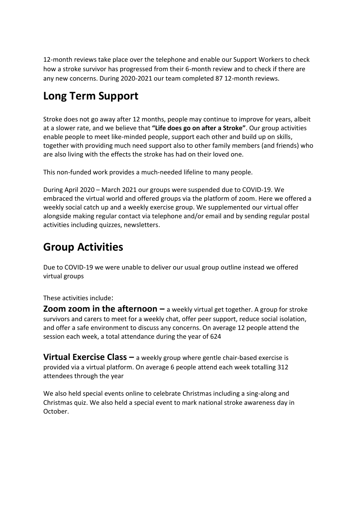12-month reviews take place over the telephone and enable our Support Workers to check how a stroke survivor has progressed from their 6-month review and to check if there are any new concerns. During 2020-2021 our team completed 87 12-month reviews.

# **Long Term Support**

Stroke does not go away after 12 months, people may continue to improve for years, albeit at a slower rate, and we believe that **"Life does go on after a Stroke"**. Our group activities enable people to meet like-minded people, support each other and build up on skills, together with providing much need support also to other family members (and friends) who are also living with the effects the stroke has had on their loved one.

This non-funded work provides a much-needed lifeline to many people.

During April 2020 – March 2021 our groups were suspended due to COVID-19. We embraced the virtual world and offered groups via the platform of zoom. Here we offered a weekly social catch up and a weekly exercise group. We supplemented our virtual offer alongside making regular contact via telephone and/or email and by sending regular postal activities including quizzes, newsletters.

# **Group Activities**

Due to COVID-19 we were unable to deliver our usual group outline instead we offered virtual groups

These activities include:

**Zoom zoom in the afternoon** – a weekly virtual get together. A group for stroke survivors and carers to meet for a weekly chat, offer peer support, reduce social isolation, and offer a safe environment to discuss any concerns. On average 12 people attend the session each week, a total attendance during the year of 624

**Virtual Exercise Class –** a weekly group where gentle chair-based exercise is provided via a virtual platform. On average 6 people attend each week totalling 312 attendees through the year

We also held special events online to celebrate Christmas including a sing-along and Christmas quiz. We also held a special event to mark national stroke awareness day in October.